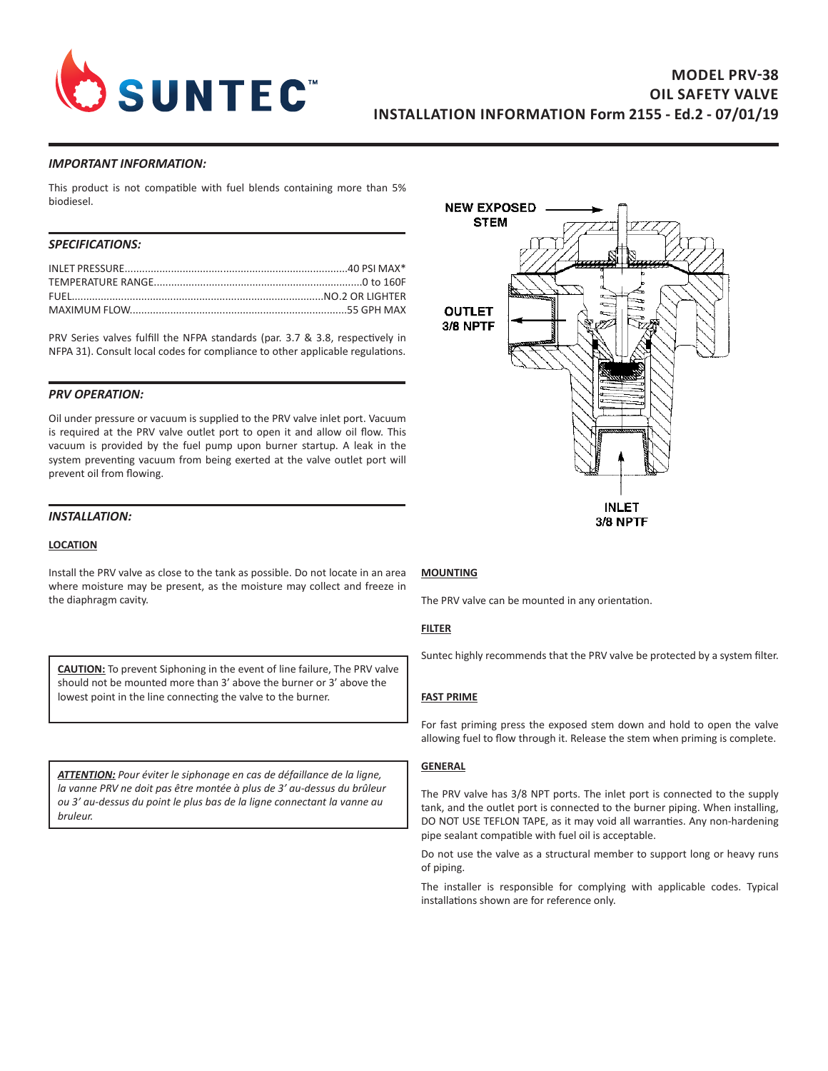

### *IMPORTANT INFORMATION:*

This product is not compatible with fuel blends containing more than 5% biodiesel.

# *SPECIFICATIONS:*

PRV Series valves fulfill the NFPA standards (par. 3.7 & 3.8, respectively in NFPA 31). Consult local codes for compliance to other applicable regulations.

# *PRV OPERATION:*

Oil under pressure or vacuum is supplied to the PRV valve inlet port. Vacuum is required at the PRV valve outlet port to open it and allow oil flow. This vacuum is provided by the fuel pump upon burner startup. A leak in the system preventing vacuum from being exerted at the valve outlet port will prevent oil from flowing.

# *INSTALLATION:*

#### **LOCATION**

Install the PRV valve as close to the tank as possible. Do not locate in an area where moisture may be present, as the moisture may collect and freeze in the diaphragm cavity.

**CAUTION:** To prevent Siphoning in the event of line failure, The PRV valve should not be mounted more than 3' above the burner or 3' above the lowest point in the line connecting the valve to the burner.

*ATTENTION: Pour éviter le siphonage en cas de défaillance de la ligne, la vanne PRV ne doit pas être montée à plus de 3' au-dessus du brûleur ou 3' au-dessus du point le plus bas de la ligne connectant la vanne au bruleur.*



### **MOUNTING**

The PRV valve can be mounted in any orientation.

#### **FILTER**

Suntec highly recommends that the PRV valve be protected by a system filter.

### **FAST PRIME**

For fast priming press the exposed stem down and hold to open the valve allowing fuel to flow through it. Release the stem when priming is complete.

#### **GENERAL**

The PRV valve has 3/8 NPT ports. The inlet port is connected to the supply tank, and the outlet port is connected to the burner piping. When installing, DO NOT USE TEFLON TAPE, as it may void all warranties. Any non-hardening pipe sealant compatible with fuel oil is acceptable.

Do not use the valve as a structural member to support long or heavy runs of piping.

The installer is responsible for complying with applicable codes. Typical installations shown are for reference only.